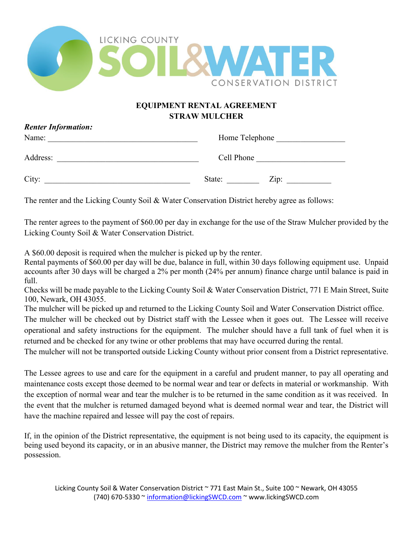

## **EQUIPMENT RENTAL AGREEMENT STRAW MULCHER**

| J<br>Name: | Home Telephone |
|------------|----------------|
| Address:   | Cell Phone     |
| City:      | Zip:<br>State: |

The renter and the Licking County Soil & Water Conservation District hereby agree as follows:

The renter agrees to the payment of \$60.00 per day in exchange for the use of the Straw Mulcher provided by the Licking County Soil & Water Conservation District.

A \$60.00 deposit is required when the mulcher is picked up by the renter.

*Renter Information:*

Rental payments of \$60.00 per day will be due, balance in full, within 30 days following equipment use. Unpaid accounts after 30 days will be charged a 2% per month (24% per annum) finance charge until balance is paid in full.

Checks will be made payable to the Licking County Soil & Water Conservation District, 771 E Main Street, Suite 100, Newark, OH 43055.

The mulcher will be picked up and returned to the Licking County Soil and Water Conservation District office.

The mulcher will be checked out by District staff with the Lessee when it goes out. The Lessee will receive operational and safety instructions for the equipment. The mulcher should have a full tank of fuel when it is returned and be checked for any twine or other problems that may have occurred during the rental.

The mulcher will not be transported outside Licking County without prior consent from a District representative.

The Lessee agrees to use and care for the equipment in a careful and prudent manner, to pay all operating and maintenance costs except those deemed to be normal wear and tear or defects in material or workmanship. With the exception of normal wear and tear the mulcher is to be returned in the same condition as it was received. In the event that the mulcher is returned damaged beyond what is deemed normal wear and tear, the District will have the machine repaired and lessee will pay the cost of repairs.

If, in the opinion of the District representative, the equipment is not being used to its capacity, the equipment is being used beyond its capacity, or in an abusive manner, the District may remove the mulcher from the Renter's possession.